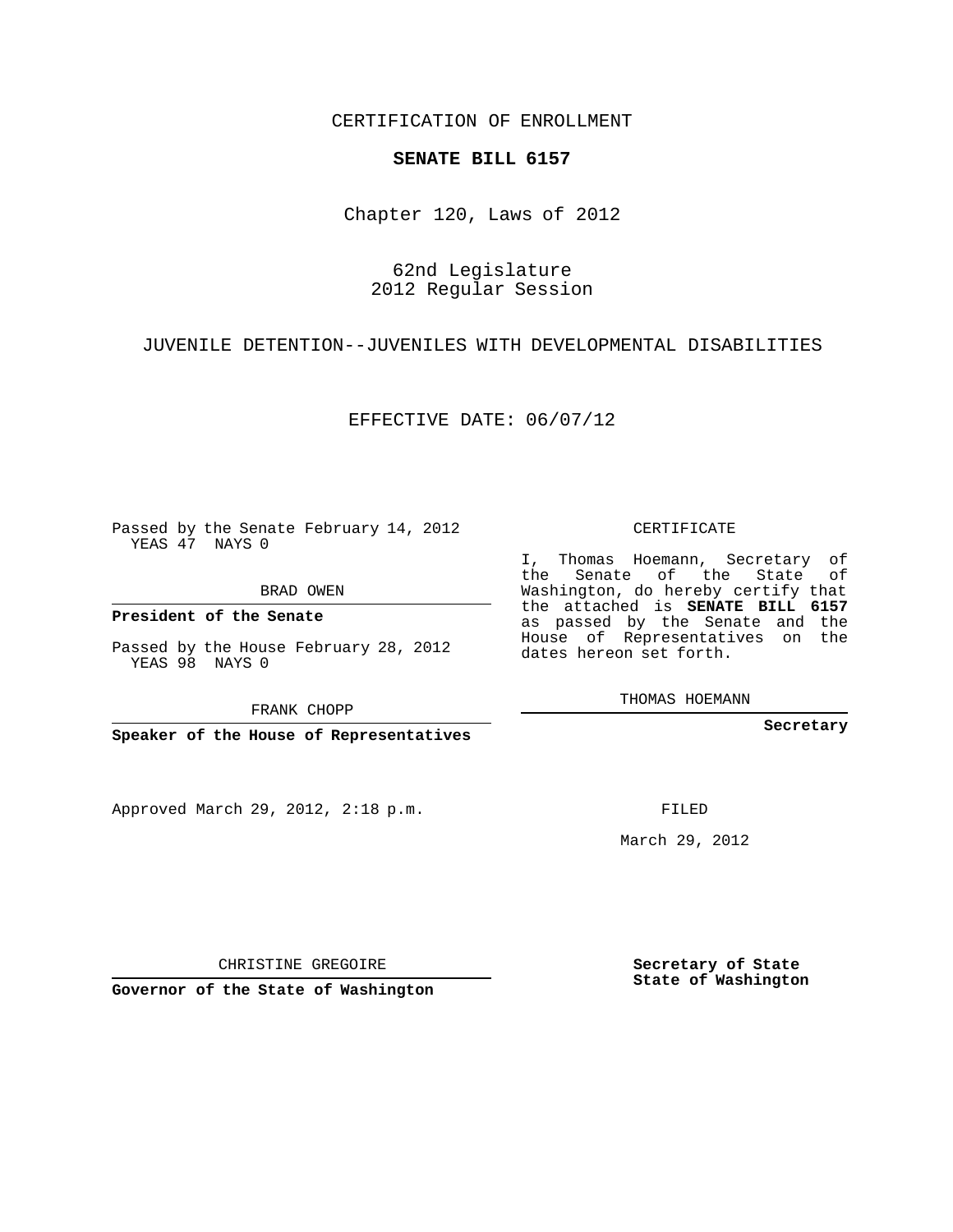CERTIFICATION OF ENROLLMENT

## **SENATE BILL 6157**

Chapter 120, Laws of 2012

## 62nd Legislature 2012 Regular Session

JUVENILE DETENTION--JUVENILES WITH DEVELOPMENTAL DISABILITIES

EFFECTIVE DATE: 06/07/12

Passed by the Senate February 14, 2012 YEAS 47 NAYS 0

BRAD OWEN

**President of the Senate**

Passed by the House February 28, 2012 YEAS 98 NAYS 0

FRANK CHOPP

Approved March 29, 2012, 2:18 p.m.

CERTIFICATE

I, Thomas Hoemann, Secretary of the Senate of the State of Washington, do hereby certify that the attached is **SENATE BILL 6157** as passed by the Senate and the House of Representatives on the dates hereon set forth.

THOMAS HOEMANN

**Secretary**

March 29, 2012

**Secretary of State State of Washington**

CHRISTINE GREGOIRE

**Governor of the State of Washington**

**Speaker of the House of Representatives**

FILED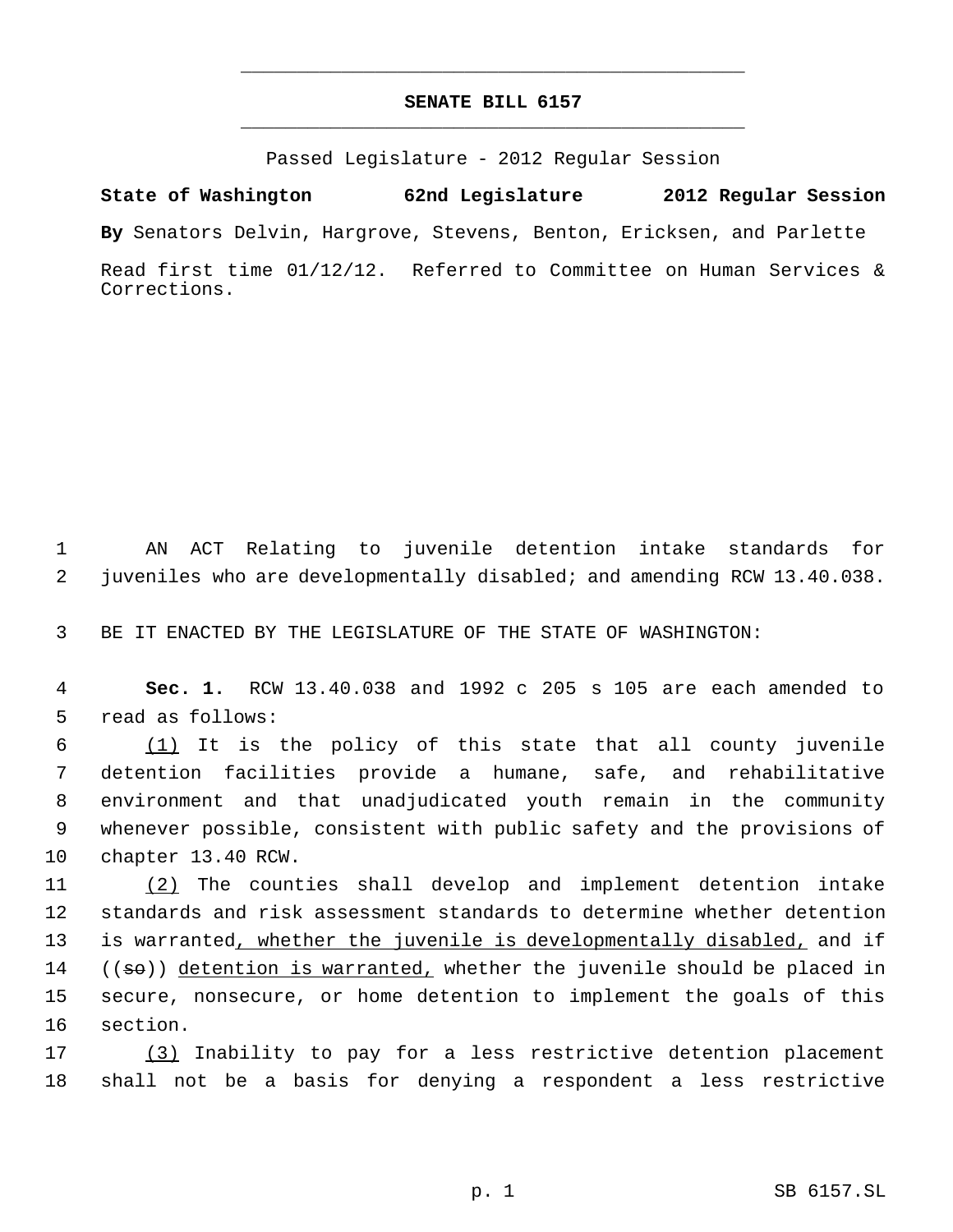## **SENATE BILL 6157** \_\_\_\_\_\_\_\_\_\_\_\_\_\_\_\_\_\_\_\_\_\_\_\_\_\_\_\_\_\_\_\_\_\_\_\_\_\_\_\_\_\_\_\_\_

\_\_\_\_\_\_\_\_\_\_\_\_\_\_\_\_\_\_\_\_\_\_\_\_\_\_\_\_\_\_\_\_\_\_\_\_\_\_\_\_\_\_\_\_\_

Passed Legislature - 2012 Regular Session

**State of Washington 62nd Legislature 2012 Regular Session**

**By** Senators Delvin, Hargrove, Stevens, Benton, Ericksen, and Parlette

Read first time 01/12/12. Referred to Committee on Human Services & Corrections.

 1 AN ACT Relating to juvenile detention intake standards for 2 juveniles who are developmentally disabled; and amending RCW 13.40.038.

3 BE IT ENACTED BY THE LEGISLATURE OF THE STATE OF WASHINGTON:

 4 **Sec. 1.** RCW 13.40.038 and 1992 c 205 s 105 are each amended to 5 read as follows:

 (1) It is the policy of this state that all county juvenile detention facilities provide a humane, safe, and rehabilitative environment and that unadjudicated youth remain in the community whenever possible, consistent with public safety and the provisions of chapter 13.40 RCW.

11 (2) The counties shall develop and implement detention intake 12 standards and risk assessment standards to determine whether detention 13 is warranted, whether the juvenile is developmentally disabled, and if 14 ((so)) detention is warranted, whether the juvenile should be placed in 15 secure, nonsecure, or home detention to implement the goals of this 16 section.

17 (3) Inability to pay for a less restrictive detention placement 18 shall not be a basis for denying a respondent a less restrictive